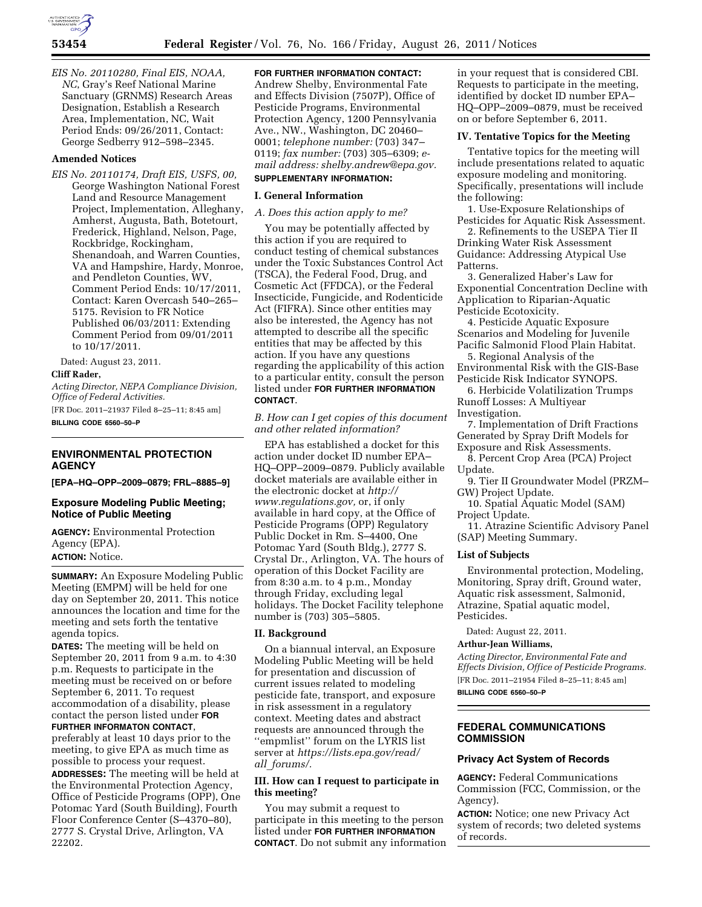*EIS No. 20110280, Final EIS, NOAA, NC*, Gray's Reef National Marine Sanctuary (GRNMS) Research Areas Designation, Establish a Research Area, Implementation, NC, Wait Period Ends: 09/26/2011, Contact: George Sedberry 912–598–2345.

### **Amended Notices**

*EIS No. 20110174, Draft EIS, USFS, 00,*  George Washington National Forest Land and Resource Management Project, Implementation, Alleghany, Amherst, Augusta, Bath, Botetourt, Frederick, Highland, Nelson, Page, Rockbridge, Rockingham, Shenandoah, and Warren Counties, VA and Hampshire, Hardy, Monroe, and Pendleton Counties, WV, Comment Period Ends: 10/17/2011, Contact: Karen Overcash 540–265– 5175. Revision to FR Notice Published 06/03/2011: Extending Comment Period from 09/01/2011 to 10/17/2011.

Dated: August 23, 2011.

### **Cliff Rader,**

*Acting Director, NEPA Compliance Division, Office of Federal Activities.* 

[FR Doc. 2011–21937 Filed 8–25–11; 8:45 am] **BILLING CODE 6560–50–P** 

# **ENVIRONMENTAL PROTECTION AGENCY**

**[EPA–HQ–OPP–2009–0879; FRL–8885–9]** 

## **Exposure Modeling Public Meeting; Notice of Public Meeting**

**AGENCY:** Environmental Protection Agency (EPA). **ACTION:** Notice.

**SUMMARY:** An Exposure Modeling Public Meeting (EMPM) will be held for one day on September 20, 2011. This notice announces the location and time for the meeting and sets forth the tentative agenda topics.

**DATES:** The meeting will be held on September 20, 2011 from 9 a.m. to 4:30 p.m. Requests to participate in the meeting must be received on or before September 6, 2011. To request accommodation of a disability, please contact the person listed under **FOR FURTHER INFORMATON CONTACT**,

preferably at least 10 days prior to the meeting, to give EPA as much time as possible to process your request.

**ADDRESSES:** The meeting will be held at the Environmental Protection Agency, Office of Pesticide Programs (OPP), One Potomac Yard (South Building), Fourth Floor Conference Center (S–4370–80), 2777 S. Crystal Drive, Arlington, VA 22202.

**FOR FURTHER INFORMATION CONTACT:**  Andrew Shelby, Environmental Fate and Effects Division (7507P), Office of Pesticide Programs, Environmental Protection Agency, 1200 Pennsylvania Ave., NW., Washington, DC 20460–

0001; *telephone number:* (703) 347– 0119; *fax number:* (703) 305–6309; *e-*

### *mail address: [shelby.andrew@epa.gov.](mailto:shelby.andrew@epa.gov)*  **SUPPLEMENTARY INFORMATION:**

### **I. General Information**

*A. Does this action apply to me?* 

You may be potentially affected by this action if you are required to conduct testing of chemical substances under the Toxic Substances Control Act (TSCA), the Federal Food, Drug, and Cosmetic Act (FFDCA), or the Federal Insecticide, Fungicide, and Rodenticide Act (FIFRA). Since other entities may also be interested, the Agency has not attempted to describe all the specific entities that may be affected by this action. If you have any questions regarding the applicability of this action to a particular entity, consult the person listed under **FOR FURTHER INFORMATION CONTACT**.

*B. How can I get copies of this document and other related information?* 

EPA has established a docket for this action under docket ID number EPA– HQ–OPP–2009–0879. Publicly available docket materials are available either in the electronic docket at *[http://](http://www.regulations.gov) [www.regulations.gov,](http://www.regulations.gov)* or, if only available in hard copy, at the Office of Pesticide Programs (OPP) Regulatory Public Docket in Rm. S–4400, One Potomac Yard (South Bldg.), 2777 S. Crystal Dr., Arlington, VA. The hours of operation of this Docket Facility are from 8:30 a.m. to 4 p.m., Monday through Friday, excluding legal holidays. The Docket Facility telephone number is (703) 305–5805.

### **II. Background**

On a biannual interval, an Exposure Modeling Public Meeting will be held for presentation and discussion of current issues related to modeling pesticide fate, transport, and exposure in risk assessment in a regulatory context. Meeting dates and abstract requests are announced through the ''empmlist'' forum on the LYRIS list server at *[https://lists.epa.gov/read/](https://lists.epa.gov/read/all_forums/) all*\_*[forums/.](https://lists.epa.gov/read/all_forums/)* 

### **III. How can I request to participate in this meeting?**

You may submit a request to participate in this meeting to the person listed under **FOR FURTHER INFORMATION CONTACT**. Do not submit any information

in your request that is considered CBI. Requests to participate in the meeting, identified by docket ID number EPA– HQ–OPP–2009–0879, must be received on or before September 6, 2011.

### **IV. Tentative Topics for the Meeting**

Tentative topics for the meeting will include presentations related to aquatic exposure modeling and monitoring. Specifically, presentations will include the following:

1. Use-Exposure Relationships of Pesticides for Aquatic Risk Assessment.

2. Refinements to the USEPA Tier II Drinking Water Risk Assessment Guidance: Addressing Atypical Use Patterns.

3. Generalized Haber's Law for Exponential Concentration Decline with Application to Riparian-Aquatic Pesticide Ecotoxicity.

4. Pesticide Aquatic Exposure Scenarios and Modeling for Juvenile Pacific Salmonid Flood Plain Habitat.

5. Regional Analysis of the Environmental Risk with the GIS-Base Pesticide Risk Indicator SYNOPS.

6. Herbicide Volatilization Trumps Runoff Losses: A Multiyear Investigation.

7. Implementation of Drift Fractions Generated by Spray Drift Models for Exposure and Risk Assessments.

8. Percent Crop Area (PCA) Project Update.

9. Tier II Groundwater Model (PRZM– GW) Project Update.

10. Spatial Aquatic Model (SAM) Project Update.

11. Atrazine Scientific Advisory Panel (SAP) Meeting Summary.

### **List of Subjects**

Environmental protection, Modeling, Monitoring, Spray drift, Ground water, Aquatic risk assessment, Salmonid, Atrazine, Spatial aquatic model, Pesticides.

Dated: August 22, 2011.

### **Arthur-Jean Williams,**

*Acting Director, Environmental Fate and Effects Division, Office of Pesticide Programs.*  [FR Doc. 2011–21954 Filed 8–25–11; 8:45 am]

**BILLING CODE 6560–50–P** 

# **FEDERAL COMMUNICATIONS COMMISSION**

### **Privacy Act System of Records**

**AGENCY:** Federal Communications Commission (FCC, Commission, or the Agency).

**ACTION:** Notice; one new Privacy Act system of records; two deleted systems of records.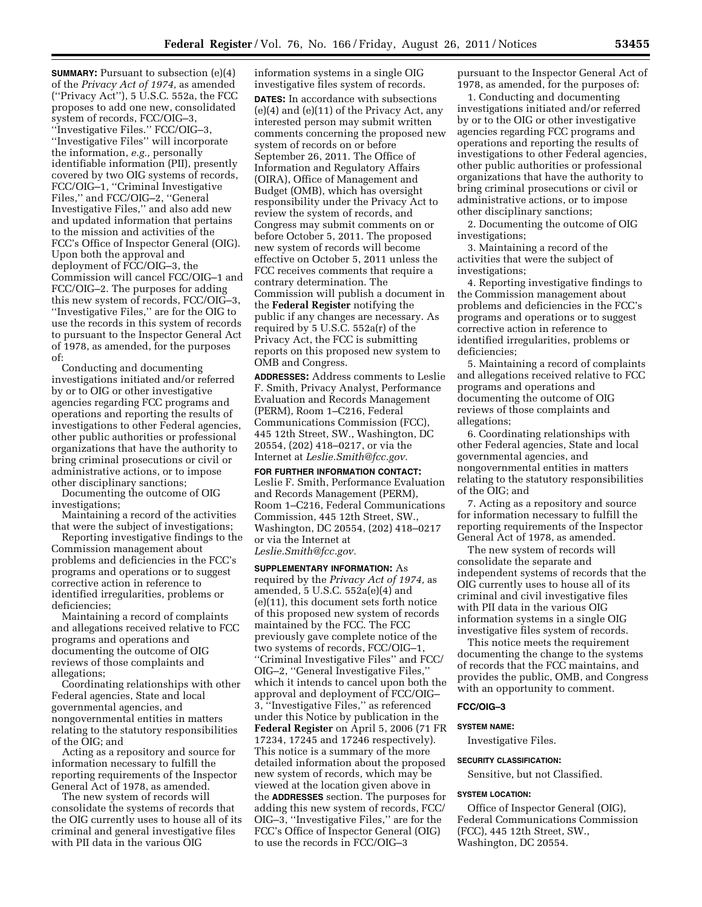**SUMMARY:** Pursuant to subsection (e)(4) of the *Privacy Act of 1974,* as amended (''Privacy Act''), 5 U.S.C. 552a, the FCC proposes to add one new, consolidated system of records, FCC/OIG–3, ''Investigative Files.'' FCC/OIG–3, ''Investigative Files'' will incorporate the information, *e.g.,* personally identifiable information (PII), presently covered by two OIG systems of records, FCC/OIG–1, ''Criminal Investigative Files,'' and FCC/OIG–2, ''General Investigative Files,'' and also add new and updated information that pertains to the mission and activities of the FCC's Office of Inspector General (OIG). Upon both the approval and deployment of FCC/OIG–3, the Commission will cancel FCC/OIG–1 and FCC/OIG–2. The purposes for adding this new system of records, FCC/OIG–3, ''Investigative Files,'' are for the OIG to use the records in this system of records to pursuant to the Inspector General Act of 1978, as amended, for the purposes of:

Conducting and documenting investigations initiated and/or referred by or to OIG or other investigative agencies regarding FCC programs and operations and reporting the results of investigations to other Federal agencies, other public authorities or professional organizations that have the authority to bring criminal prosecutions or civil or administrative actions, or to impose other disciplinary sanctions;

Documenting the outcome of OIG investigations;

Maintaining a record of the activities that were the subject of investigations;

Reporting investigative findings to the Commission management about problems and deficiencies in the FCC's programs and operations or to suggest corrective action in reference to identified irregularities, problems or deficiencies;

Maintaining a record of complaints and allegations received relative to FCC programs and operations and documenting the outcome of OIG reviews of those complaints and allegations;

Coordinating relationships with other Federal agencies, State and local governmental agencies, and nongovernmental entities in matters relating to the statutory responsibilities of the OIG; and

Acting as a repository and source for information necessary to fulfill the reporting requirements of the Inspector General Act of 1978, as amended.

The new system of records will consolidate the systems of records that the OIG currently uses to house all of its criminal and general investigative files with PII data in the various OIG

information systems in a single OIG investigative files system of records. **DATES:** In accordance with subsections (e)(4) and (e)(11) of the Privacy Act, any interested person may submit written comments concerning the proposed new system of records on or before September 26, 2011. The Office of Information and Regulatory Affairs (OIRA), Office of Management and Budget (OMB), which has oversight responsibility under the Privacy Act to review the system of records, and Congress may submit comments on or before October 5, 2011. The proposed new system of records will become effective on October 5, 2011 unless the FCC receives comments that require a contrary determination. The Commission will publish a document in the **Federal Register** notifying the public if any changes are necessary. As required by 5 U.S.C. 552a(r) of the Privacy Act, the FCC is submitting reports on this proposed new system to OMB and Congress.

**ADDRESSES:** Address comments to Leslie F. Smith, Privacy Analyst, Performance Evaluation and Records Management (PERM), Room 1–C216, Federal Communications Commission (FCC), 445 12th Street, SW., Washington, DC 20554, (202) 418–0217, or via the Internet at *[Leslie.Smith@fcc.gov.](mailto:Leslie.Smith@fcc.gov)* 

**FOR FURTHER INFORMATION CONTACT:**  Leslie F. Smith, Performance Evaluation and Records Management (PERM), Room 1–C216, Federal Communications Commission, 445 12th Street, SW., Washington, DC 20554, (202) 418–0217 or via the Internet at *[Leslie.Smith@fcc.gov.](mailto:Leslie.Smith@fcc.gov)* 

**SUPPLEMENTARY INFORMATION:** As required by the *Privacy Act of 1974,* as amended, 5 U.S.C. 552a(e)(4) and (e)(11), this document sets forth notice of this proposed new system of records maintained by the FCC. The FCC previously gave complete notice of the two systems of records, FCC/OIG–1, ''Criminal Investigative Files'' and FCC/ OIG–2, ''General Investigative Files,'' which it intends to cancel upon both the approval and deployment of FCC/OIG– 3, ''Investigative Files,'' as referenced under this Notice by publication in the **Federal Register** on April 5, 2006 (71 FR 17234, 17245 and 17246 respectively). This notice is a summary of the more detailed information about the proposed new system of records, which may be viewed at the location given above in the **ADDRESSES** section. The purposes for adding this new system of records, FCC/ OIG–3, ''Investigative Files,'' are for the FCC's Office of Inspector General (OIG) to use the records in FCC/OIG–3

pursuant to the Inspector General Act of 1978, as amended, for the purposes of:

1. Conducting and documenting investigations initiated and/or referred by or to the OIG or other investigative agencies regarding FCC programs and operations and reporting the results of investigations to other Federal agencies, other public authorities or professional organizations that have the authority to bring criminal prosecutions or civil or administrative actions, or to impose other disciplinary sanctions;

2. Documenting the outcome of OIG investigations;

3. Maintaining a record of the activities that were the subject of investigations;

4. Reporting investigative findings to the Commission management about problems and deficiencies in the FCC's programs and operations or to suggest corrective action in reference to identified irregularities, problems or deficiencies;

5. Maintaining a record of complaints and allegations received relative to FCC programs and operations and documenting the outcome of OIG reviews of those complaints and allegations;

6. Coordinating relationships with other Federal agencies, State and local governmental agencies, and nongovernmental entities in matters relating to the statutory responsibilities of the OIG; and

7. Acting as a repository and source for information necessary to fulfill the reporting requirements of the Inspector General Act of 1978, as amended.

The new system of records will consolidate the separate and independent systems of records that the OIG currently uses to house all of its criminal and civil investigative files with PII data in the various OIG information systems in a single OIG investigative files system of records.

This notice meets the requirement documenting the change to the systems of records that the FCC maintains, and provides the public, OMB, and Congress with an opportunity to comment.

### **FCC/OIG–3**

#### **SYSTEM NAME:**

Investigative Files.

### **SECURITY CLASSIFICATION:**

Sensitive, but not Classified.

#### **SYSTEM LOCATION:**

Office of Inspector General (OIG), Federal Communications Commission (FCC), 445 12th Street, SW., Washington, DC 20554.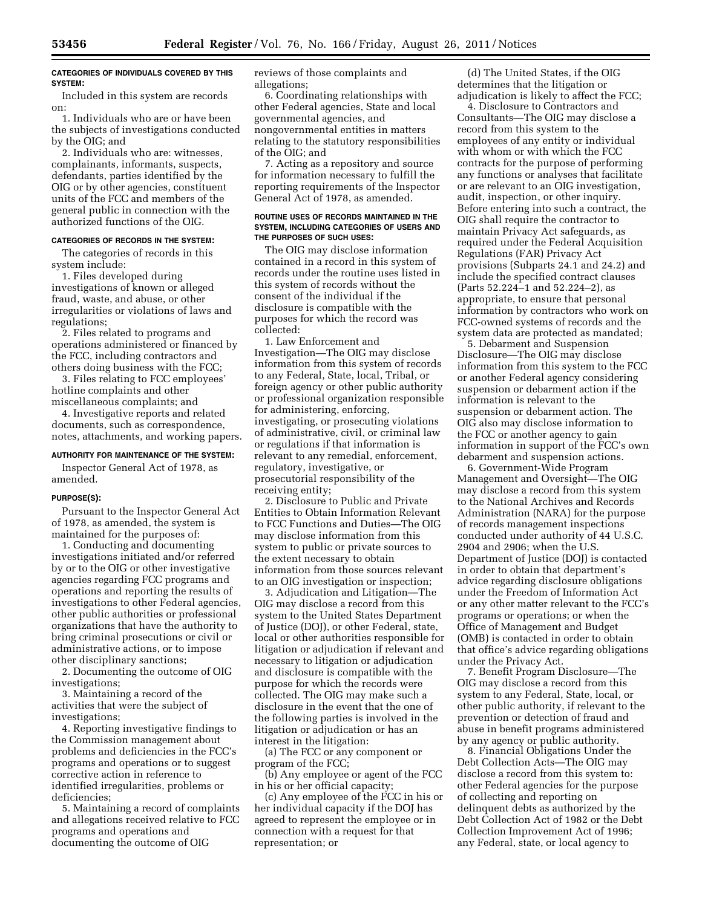### **CATEGORIES OF INDIVIDUALS COVERED BY THIS SYSTEM:**

Included in this system are records on:

1. Individuals who are or have been the subjects of investigations conducted by the OIG; and

2. Individuals who are: witnesses, complainants, informants, suspects, defendants, parties identified by the OIG or by other agencies, constituent units of the FCC and members of the general public in connection with the authorized functions of the OIG.

### **CATEGORIES OF RECORDS IN THE SYSTEM:**

The categories of records in this system include:

1. Files developed during investigations of known or alleged fraud, waste, and abuse, or other irregularities or violations of laws and regulations;

2. Files related to programs and operations administered or financed by the FCC, including contractors and others doing business with the FCC;

3. Files relating to FCC employees' hotline complaints and other miscellaneous complaints; and

4. Investigative reports and related documents, such as correspondence, notes, attachments, and working papers.

#### **AUTHORITY FOR MAINTENANCE OF THE SYSTEM:**

Inspector General Act of 1978, as amended.

#### **PURPOSE(S):**

Pursuant to the Inspector General Act of 1978, as amended, the system is maintained for the purposes of:

1. Conducting and documenting investigations initiated and/or referred by or to the OIG or other investigative agencies regarding FCC programs and operations and reporting the results of investigations to other Federal agencies, other public authorities or professional organizations that have the authority to bring criminal prosecutions or civil or administrative actions, or to impose other disciplinary sanctions;

2. Documenting the outcome of OIG investigations;

3. Maintaining a record of the activities that were the subject of investigations;

4. Reporting investigative findings to the Commission management about problems and deficiencies in the FCC's programs and operations or to suggest corrective action in reference to identified irregularities, problems or deficiencies;

5. Maintaining a record of complaints and allegations received relative to FCC programs and operations and documenting the outcome of OIG

reviews of those complaints and allegations;

6. Coordinating relationships with other Federal agencies, State and local governmental agencies, and nongovernmental entities in matters relating to the statutory responsibilities of the OIG; and

7. Acting as a repository and source for information necessary to fulfill the reporting requirements of the Inspector General Act of 1978, as amended.

#### **ROUTINE USES OF RECORDS MAINTAINED IN THE SYSTEM, INCLUDING CATEGORIES OF USERS AND THE PURPOSES OF SUCH USES:**

The OIG may disclose information contained in a record in this system of records under the routine uses listed in this system of records without the consent of the individual if the disclosure is compatible with the purposes for which the record was collected:

1. Law Enforcement and Investigation—The OIG may disclose information from this system of records to any Federal, State, local, Tribal, or foreign agency or other public authority or professional organization responsible for administering, enforcing, investigating, or prosecuting violations of administrative, civil, or criminal law or regulations if that information is relevant to any remedial, enforcement, regulatory, investigative, or prosecutorial responsibility of the receiving entity;

2. Disclosure to Public and Private Entities to Obtain Information Relevant to FCC Functions and Duties—The OIG may disclose information from this system to public or private sources to the extent necessary to obtain information from those sources relevant to an OIG investigation or inspection;

3. Adjudication and Litigation—The OIG may disclose a record from this system to the United States Department of Justice (DOJ), or other Federal, state, local or other authorities responsible for litigation or adjudication if relevant and necessary to litigation or adjudication and disclosure is compatible with the purpose for which the records were collected. The OIG may make such a disclosure in the event that the one of the following parties is involved in the litigation or adjudication or has an interest in the litigation:

(a) The FCC or any component or program of the FCC;

(b) Any employee or agent of the FCC in his or her official capacity;

(c) Any employee of the FCC in his or her individual capacity if the DOJ has agreed to represent the employee or in connection with a request for that representation; or

(d) The United States, if the OIG determines that the litigation or adjudication is likely to affect the FCC;

4. Disclosure to Contractors and Consultants—The OIG may disclose a record from this system to the employees of any entity or individual with whom or with which the FCC contracts for the purpose of performing any functions or analyses that facilitate or are relevant to an OIG investigation, audit, inspection, or other inquiry. Before entering into such a contract, the OIG shall require the contractor to maintain Privacy Act safeguards, as required under the Federal Acquisition Regulations (FAR) Privacy Act provisions (Subparts 24.1 and 24.2) and include the specified contract clauses (Parts 52.224–1 and 52.224–2), as appropriate, to ensure that personal information by contractors who work on FCC-owned systems of records and the system data are protected as mandated;

5. Debarment and Suspension Disclosure—The OIG may disclose information from this system to the FCC or another Federal agency considering suspension or debarment action if the information is relevant to the suspension or debarment action. The OIG also may disclose information to the FCC or another agency to gain information in support of the FCC's own debarment and suspension actions.

6. Government-Wide Program Management and Oversight—The OIG may disclose a record from this system to the National Archives and Records Administration (NARA) for the purpose of records management inspections conducted under authority of 44 U.S.C. 2904 and 2906; when the U.S. Department of Justice (DOJ) is contacted in order to obtain that department's advice regarding disclosure obligations under the Freedom of Information Act or any other matter relevant to the FCC's programs or operations; or when the Office of Management and Budget (OMB) is contacted in order to obtain that office's advice regarding obligations under the Privacy Act.

7. Benefit Program Disclosure—The OIG may disclose a record from this system to any Federal, State, local, or other public authority, if relevant to the prevention or detection of fraud and abuse in benefit programs administered by any agency or public authority.

8. Financial Obligations Under the Debt Collection Acts—The OIG may disclose a record from this system to: other Federal agencies for the purpose of collecting and reporting on delinquent debts as authorized by the Debt Collection Act of 1982 or the Debt Collection Improvement Act of 1996; any Federal, state, or local agency to